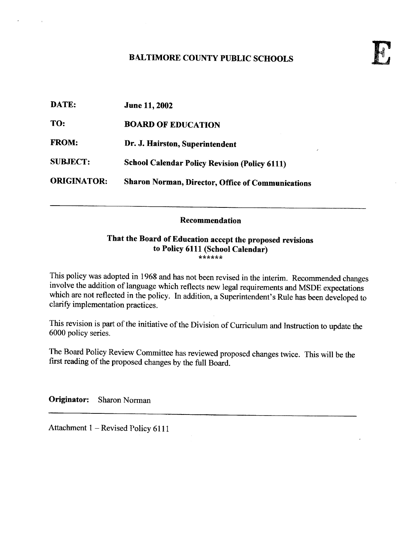## BALTIMORE COUNTY PUBLIC SCHOOLS

| <b>June 11, 2002</b>                                 |
|------------------------------------------------------|
| <b>BOARD OF EDUCATION</b>                            |
| Dr. J. Hairston, Superintendent<br>$\lambda$         |
| <b>School Calendar Policy Revision (Policy 6111)</b> |
| Sharon Norman, Director, Office of Communications    |
|                                                      |

## Recommendation

## That the Board of Education accept the proposed revisions to Policy 6111 (School Calendar)

This policy was adopted in 1968 and has not been revised in the interim. Recommended changes involve the addition of language which reflects new legal requirements and MSDE expectations which are not reflected in the policy. In addition, a Superintendent's Rule has been developed to clarify implementation practices .

This revision is part of the initiative of the Division of Curriculum and Instruction to update the 6000 policy series.

The Board Policy Review Committee has reviewed proposed changes twice. This will be the first reading of the proposed changes by the full Board.

Originator: Sharon Norman

Attachment 1 – Revised Policy 6111